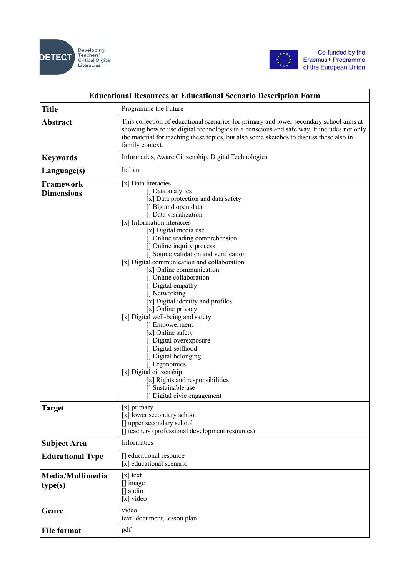



| <b>Educational Resources or Educational Scenario Description Form</b> |                                                                                                                                                                                                                                                                                                                                                                                                                                                                                                                                                                                                                                                                                                                                                                                                    |  |
|-----------------------------------------------------------------------|----------------------------------------------------------------------------------------------------------------------------------------------------------------------------------------------------------------------------------------------------------------------------------------------------------------------------------------------------------------------------------------------------------------------------------------------------------------------------------------------------------------------------------------------------------------------------------------------------------------------------------------------------------------------------------------------------------------------------------------------------------------------------------------------------|--|
| <b>Title</b>                                                          | Programme the Future                                                                                                                                                                                                                                                                                                                                                                                                                                                                                                                                                                                                                                                                                                                                                                               |  |
| <b>Abstract</b>                                                       | This collection of educational scenarios for primary and lower secondary school aims at<br>showing how to use digital technologies in a conscious and safe way. It includes not only<br>the material for teaching these topics, but also some sketches to discuss these also in<br>family context.                                                                                                                                                                                                                                                                                                                                                                                                                                                                                                 |  |
| <b>Keywords</b>                                                       | Informatics, Aware Citizenship, Digital Technologies                                                                                                                                                                                                                                                                                                                                                                                                                                                                                                                                                                                                                                                                                                                                               |  |
| Language(s)                                                           | Italian                                                                                                                                                                                                                                                                                                                                                                                                                                                                                                                                                                                                                                                                                                                                                                                            |  |
| <b>Framework</b><br><b>Dimensions</b>                                 | [x] Data literacies<br>[] Data analytics<br>[x] Data protection and data safety<br>[] Big and open data<br>[] Data visualization<br>[x] Information literacies<br>[x] Digital media use<br>[] Online reading comprehension<br>[] Online inquiry process<br>[] Source validation and verification<br>[x] Digital communication and collaboration<br>[x] Online communication<br>[] Online collaboration<br>[] Digital empathy<br>[] Networking<br>[x] Digital identity and profiles<br>[x] Online privacy<br>[x] Digital well-being and safety<br>[] Empowerment<br>[x] Online safety<br>[] Digital overexposure<br>[] Digital selfhood<br>[] Digital belonging<br>[] Ergonomics<br>[x] Digital citizenship<br>[x] Rights and responsibilities<br>[] Sustainable use<br>[] Digital civic engagement |  |
| Target                                                                | $[x]$ primary<br>[x] lower secondary school<br>[] upper secondary school<br>[] teachers (professional development resources)                                                                                                                                                                                                                                                                                                                                                                                                                                                                                                                                                                                                                                                                       |  |
| <b>Subject Area</b>                                                   | Informatics                                                                                                                                                                                                                                                                                                                                                                                                                                                                                                                                                                                                                                                                                                                                                                                        |  |
| <b>Educational Type</b>                                               | [] educational resource<br>[x] educational scenario                                                                                                                                                                                                                                                                                                                                                                                                                                                                                                                                                                                                                                                                                                                                                |  |
| Media/Multimedia<br>type(s)                                           | $[x]$ text<br>[] image<br>$\Box$ audio<br>[x] video                                                                                                                                                                                                                                                                                                                                                                                                                                                                                                                                                                                                                                                                                                                                                |  |
| Genre                                                                 | video<br>text: document, lesson plan                                                                                                                                                                                                                                                                                                                                                                                                                                                                                                                                                                                                                                                                                                                                                               |  |
| <b>File format</b>                                                    | pdf                                                                                                                                                                                                                                                                                                                                                                                                                                                                                                                                                                                                                                                                                                                                                                                                |  |